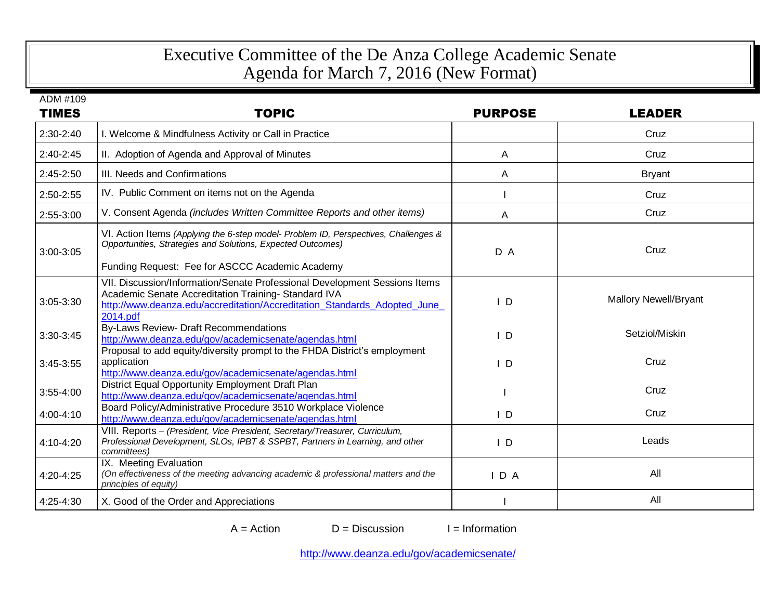## Executive Committee of the De Anza College Academic Senate Agenda for March 7, 2016 (New Format)

ADM #109

| <b>TIMES</b>  | <b>TOPIC</b>                                                                                                                                                                                                              | <b>PURPOSE</b> | <b>LEADER</b>                |
|---------------|---------------------------------------------------------------------------------------------------------------------------------------------------------------------------------------------------------------------------|----------------|------------------------------|
| 2:30-2:40     | I. Welcome & Mindfulness Activity or Call in Practice                                                                                                                                                                     |                | Cruz                         |
| $2:40-2:45$   | II. Adoption of Agenda and Approval of Minutes                                                                                                                                                                            | A              | Cruz                         |
| 2:45-2:50     | III. Needs and Confirmations                                                                                                                                                                                              | A              | <b>Bryant</b>                |
| 2:50-2:55     | IV. Public Comment on items not on the Agenda                                                                                                                                                                             |                | Cruz                         |
| 2:55-3:00     | V. Consent Agenda (includes Written Committee Reports and other items)                                                                                                                                                    | A              | Cruz                         |
| 3:00-3:05     | VI. Action Items (Applying the 6-step model- Problem ID, Perspectives, Challenges &<br>Opportunities, Strategies and Solutions, Expected Outcomes)<br>Funding Request: Fee for ASCCC Academic Academy                     | D A            | Cruz                         |
| $3:05 - 3:30$ | VII. Discussion/Information/Senate Professional Development Sessions Items<br>Academic Senate Accreditation Training-Standard IVA<br>http://www.deanza.edu/accreditation/Accreditation Standards Adopted June<br>2014.pdf | D              | <b>Mallory Newell/Bryant</b> |
| 3:30-3:45     | <b>By-Laws Review- Draft Recommendations</b><br>http://www.deanza.edu/gov/academicsenate/agendas.html                                                                                                                     | $\overline{D}$ | Setziol/Miskin               |
| $3:45-3:55$   | Proposal to add equity/diversity prompt to the FHDA District's employment<br>application<br>http://www.deanza.edu/gov/academicsenate/agendas.html                                                                         | $\mathsf{I}$ D | Cruz                         |
| $3:55-4:00$   | District Equal Opportunity Employment Draft Plan<br>http://www.deanza.edu/gov/academicsenate/agendas.html                                                                                                                 |                | Cruz                         |
| 4:00-4:10     | Board Policy/Administrative Procedure 3510 Workplace Violence<br>http://www.deanza.edu/gov/academicsenate/agendas.html                                                                                                    | $\mathsf{I}$ D | Cruz                         |
| 4:10-4:20     | VIII. Reports - (President, Vice President, Secretary/Treasurer, Curriculum,<br>Professional Development, SLOs, IPBT & SSPBT, Partners in Learning, and other<br>committees)                                              | $\mathsf{I}$ D | Leads                        |
| 4:20-4:25     | IX. Meeting Evaluation<br>(On effectiveness of the meeting advancing academic & professional matters and the<br>principles of equity)                                                                                     | $I$ D A        | All                          |
| 4:25-4:30     | X. Good of the Order and Appreciations                                                                                                                                                                                    |                | All                          |

 $A = Action$   $D = Discussion$  I = Information